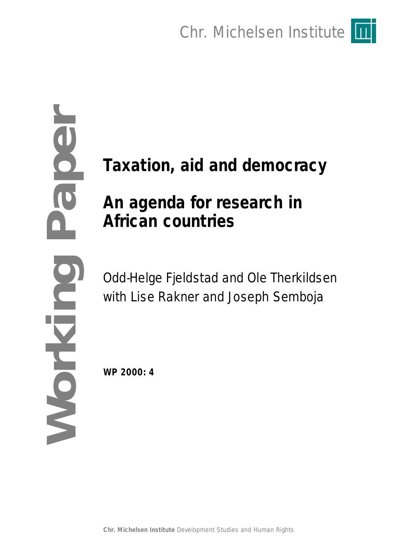Chr. Michelsen Institute



# **Taxation, aid and democracy**

# **An agenda for research in African countries**

**Working Paper**OL

 $\overline{\mathbf{0}}$ 

Odd-Helge Fjeldstad and Ole Therkildsen with Lise Rakner and Joseph Semboja

**WP 2000: 4**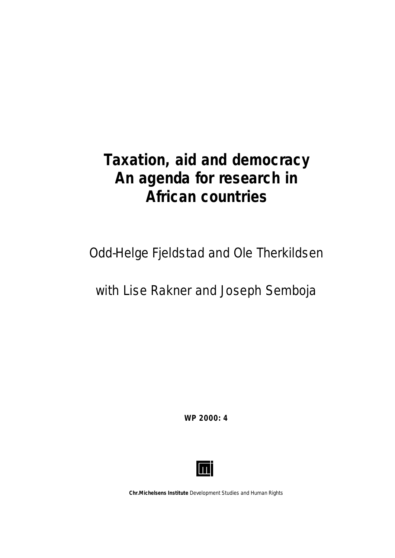# **Taxation, aid and democracy An agenda for research in African countries**

Odd-Helge Fjeldstad and Ole Therkildsen

with Lise Rakner and Joseph Semboja

**WP 2000: 4**



**Chr.Michelsens Institute** *Development Studies and Human Rights*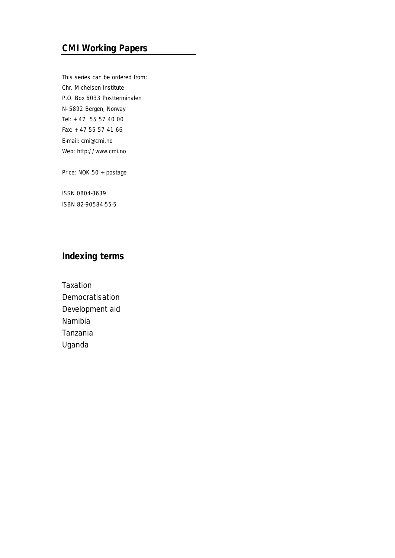# **CMI Working Papers**

This series can be ordered from: Chr. Michelsen Institute P.O. Box 6033 Postterminalen N- 5892 Bergen, Norway Tel: + 47 55 57 40 00 Fax: + 47 55 57 41 66 E-mail: cmi@cmi.no Web: http://www.cmi.no

Price: NOK 50 + postage

ISSN 0804-3639 ISBN 82-90584-55-5

### **Indexing terms**

Taxation Democratisation Development aid Namibia Tanzania Uganda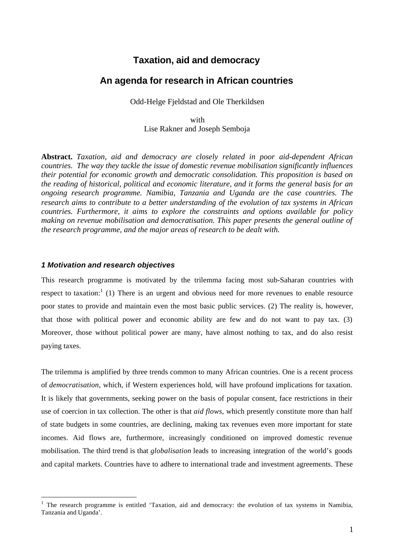## **Taxation, aid and democracy**

### **An agenda for research in African countries**

Odd-Helge Fjeldstad and Ole Therkildsen

with Lise Rakner and Joseph Semboja

**Abstract.** *Taxation, aid and democracy are closely related in poor aid-dependent African countries. The way they tackle the issue of domestic revenue mobilisation significantly influences their potential for economic growth and democratic consolidation. This proposition is based on the reading of historical, political and economic literature, and it forms the general basis for an ongoing research programme. Namibia, Tanzania and Uganda are the case countries. The research aims to contribute to a better understanding of the evolution of tax systems in African countries. Furthermore, it aims to explore the constraints and options available for policy making on revenue mobilisation and democratisation. This paper presents the general outline of the research programme, and the major areas of research to be dealt with.*

#### *1 Motivation and research objectives*

l

This research programme is motivated by the trilemma facing most sub-Saharan countries with respect to taxation:<sup>1</sup> (1) There is an urgent and obvious need for more revenues to enable resource poor states to provide and maintain even the most basic public services. (2) The reality is, however, that those with political power and economic ability are few and do not want to pay tax. (3) Moreover, those without political power are many, have almost nothing to tax, and do also resist paying taxes.

The trilemma is amplified by three trends common to many African countries. One is a recent process of *democratisation*, which, if Western experiences hold, will have profound implications for taxation. It is likely that governments, seeking power on the basis of popular consent, face restrictions in their use of coercion in tax collection. The other is that *aid flows*, which presently constitute more than half of state budgets in some countries, are declining, making tax revenues even more important for state incomes. Aid flows are, furthermore, increasingly conditioned on improved domestic revenue mobilisation. The third trend is that *globalisation* leads to increasing integration of the world's goods and capital markets. Countries have to adhere to international trade and investment agreements. These

<sup>&</sup>lt;sup>1</sup> The research programme is entitled 'Taxation, aid and democracy: the evolution of tax systems in Namibia, Tanzania and Uganda'.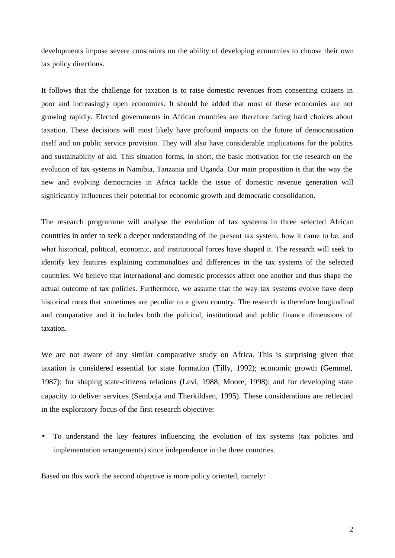developments impose severe constraints on the ability of developing economies to choose their own tax policy directions*.*

It follows that the challenge for taxation is to raise domestic revenues from consenting citizens in poor and increasingly open economies. It should be added that most of these economies are not growing rapidly. Elected governments in African countries are therefore facing hard choices about taxation. These decisions will most likely have profound impacts on the future of democratisation itself and on public service provision. They will also have considerable implications for the politics and sustainability of aid. This situation forms, in short, the basic motivation for the research on the evolution of tax systems in Namibia, Tanzania and Uganda. Our main proposition is that the way the new and evolving democracies in Africa tackle the issue of domestic revenue generation will significantly influences their potential for economic growth and democratic consolidation.

The research programme will analyse the evolution of tax systems in three selected African countries in order to seek a deeper understanding of the present tax system, how it came to be, and what historical, political, economic, and institutional forces have shaped it. The research will seek to identify key features explaining commonalties and differences in the tax systems of the selected countries. We believe that international and domestic processes affect one another and thus shape the actual outcome of tax policies. Furthermore, we assume that the way tax systems evolve have deep historical roots that sometimes are peculiar to a given country. The research is therefore longitudinal and comparative and it includes both the political, institutional and public finance dimensions of taxation.

We are not aware of any similar comparative study on Africa. This is surprising given that taxation is considered essential for state formation (Tilly, 1992); economic growth (Gemmel, 1987); for shaping state-citizens relations (Levi, 1988; Moore, 1998); and for developing state capacity to deliver services (Semboja and Therkildsen, 1995). These considerations are reflected in the exploratory focus of the first research objective:

• To understand the key features influencing the evolution of tax systems (tax policies and implementation arrangements) since independence in the three countries.

Based on this work the second objective is more policy oriented, namely: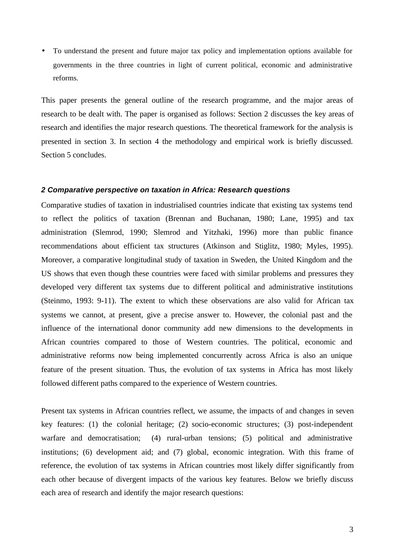• To understand the present and future major tax policy and implementation options available for governments in the three countries in light of current political, economic and administrative reforms.

This paper presents the general outline of the research programme, and the major areas of research to be dealt with. The paper is organised as follows: Section 2 discusses the key areas of research and identifies the major research questions. The theoretical framework for the analysis is presented in section 3. In section 4 the methodology and empirical work is briefly discussed. Section 5 concludes.

#### *2 Comparative perspective on taxation in Africa: Research questions*

Comparative studies of taxation in industrialised countries indicate that existing tax systems tend to reflect the politics of taxation (Brennan and Buchanan, 1980; Lane, 1995) and tax administration (Slemrod, 1990; Slemrod and Yitzhaki, 1996) more than public finance recommendations about efficient tax structures (Atkinson and Stiglitz, 1980; Myles, 1995). Moreover, a comparative longitudinal study of taxation in Sweden, the United Kingdom and the US shows that even though these countries were faced with similar problems and pressures they developed very different tax systems due to different political and administrative institutions (Steinmo, 1993: 9-11). The extent to which these observations are also valid for African tax systems we cannot, at present, give a precise answer to. However, the colonial past and the influence of the international donor community add new dimensions to the developments in African countries compared to those of Western countries. The political, economic and administrative reforms now being implemented concurrently across Africa is also an unique feature of the present situation. Thus, the evolution of tax systems in Africa has most likely followed different paths compared to the experience of Western countries.

Present tax systems in African countries reflect, we assume, the impacts of and changes in seven key features: (1) the colonial heritage; (2) socio-economic structures; (3) post-independent warfare and democratisation; (4) rural-urban tensions; (5) political and administrative institutions; (6) development aid; and (7) global, economic integration. With this frame of reference, the evolution of tax systems in African countries most likely differ significantly from each other because of divergent impacts of the various key features. Below we briefly discuss each area of research and identify the major research questions: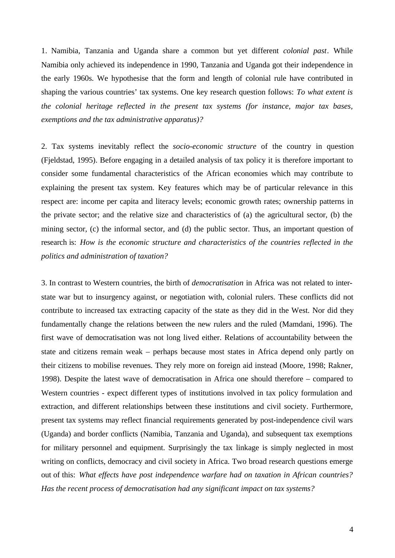1. Namibia, Tanzania and Uganda share a common but yet different *colonial past*. While Namibia only achieved its independence in 1990, Tanzania and Uganda got their independence in the early 1960s. We hypothesise that the form and length of colonial rule have contributed in shaping the various countries' tax systems. One key research question follows: *To what extent is the colonial heritage reflected in the present tax systems (for instance, major tax bases, exemptions and the tax administrative apparatus)?*

2. Tax systems inevitably reflect the *socio-economic structure* of the country in question (Fjeldstad, 1995). Before engaging in a detailed analysis of tax policy it is therefore important to consider some fundamental characteristics of the African economies which may contribute to explaining the present tax system. Key features which may be of particular relevance in this respect are: income per capita and literacy levels; economic growth rates; ownership patterns in the private sector; and the relative size and characteristics of (a) the agricultural sector, (b) the mining sector, (c) the informal sector, and (d) the public sector. Thus, an important question of research is: *How is the economic structure and characteristics of the countries reflected in the politics and administration of taxation?*

3. In contrast to Western countries, the birth of *democratisation* in Africa was not related to interstate war but to insurgency against, or negotiation with, colonial rulers. These conflicts did not contribute to increased tax extracting capacity of the state as they did in the West. Nor did they fundamentally change the relations between the new rulers and the ruled (Mamdani, 1996). The first wave of democratisation was not long lived either. Relations of accountability between the state and citizens remain weak – perhaps because most states in Africa depend only partly on their citizens to mobilise revenues. They rely more on foreign aid instead (Moore, 1998; Rakner, 1998). Despite the latest wave of democratisation in Africa one should therefore – compared to Western countries - expect different types of institutions involved in tax policy formulation and extraction, and different relationships between these institutions and civil society. Furthermore, present tax systems may reflect financial requirements generated by post-independence civil wars (Uganda) and border conflicts (Namibia, Tanzania and Uganda), and subsequent tax exemptions for military personnel and equipment. Surprisingly the tax linkage is simply neglected in most writing on conflicts, democracy and civil society in Africa. Two broad research questions emerge out of this: *What effects have post independence warfare had on taxation in African countries? Has the recent process of democratisation had any significant impact on tax systems?*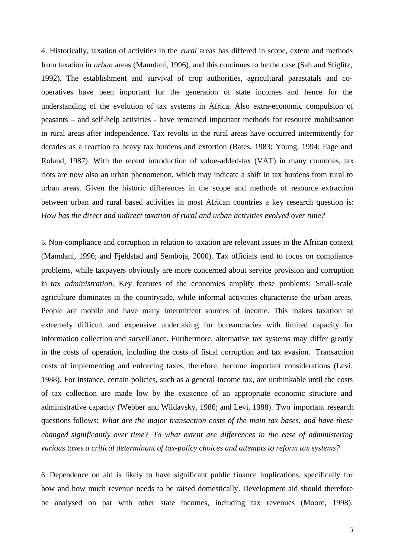4. Historically, taxation of activities in the *rural* areas has differed in scope, extent and methods from taxation in *urban* areas (Mamdani, 1996), and this continues to be the case (Sah and Stiglitz, 1992). The establishment and survival of crop authorities, agricultural parastatals and cooperatives have been important for the generation of state incomes and hence for the understanding of the evolution of tax systems in Africa. Also extra-economic compulsion of peasants – and self-help activities - have remained important methods for resource mobilisation in rural areas after independence. Tax revolts in the rural areas have occurred intermittently for decades as a reaction to heavy tax burdens and extortion (Bates, 1983; Young, 1994; Fage and Roland, 1987). With the recent introduction of value-added-tax (VAT) in many countries, tax riots are now also an urban phenomenon, which may indicate a shift in tax burdens from rural to urban areas. Given the historic differences in the scope and methods of resource extraction between urban and rural based activities in most African countries a key research question is: *How has the direct and indirect taxation of rural and urban activities evolved over time?*

5. Non-compliance and corruption in relation to taxation are relevant issues in the African context (Mamdani, 1996; and Fjeldstad and Semboja, 2000). Tax officials tend to focus on compliance problems, while taxpayers obviously are more concerned about service provision and corruption in *tax administration*. Key features of the economies amplify these problems: Small-scale agriculture dominates in the countryside, while informal activities characterise the urban areas. People are mobile and have many intermittent sources of income. This makes taxation an extremely difficult and expensive undertaking for bureaucracies with limited capacity for information collection and surveillance. Furthermore, alternative tax systems may differ greatly in the costs of operation, including the costs of fiscal corruption and tax evasion. Transaction costs of implementing and enforcing taxes, therefore, become important considerations (Levi, 1988). For instance, certain policies, such as a general income tax, are unthinkable until the costs of tax collection are made low by the existence of an appropriate economic structure and administrative capacity (Webber and Wildavsky, 1986; and Levi, 1988). Two important research questions follows: *What are the major transaction costs of the main tax bases, and have these changed significantly over time? To what extent are differences in the ease of administering various taxes a critical determinant of tax-policy choices and attempts to reform tax systems?*

6. Dependence on aid is likely to have significant public finance implications, specifically for how and how much revenue needs to be raised domestically. Development aid should therefore be analysed on par with other state incomes, including tax revenues (Moore, 1998).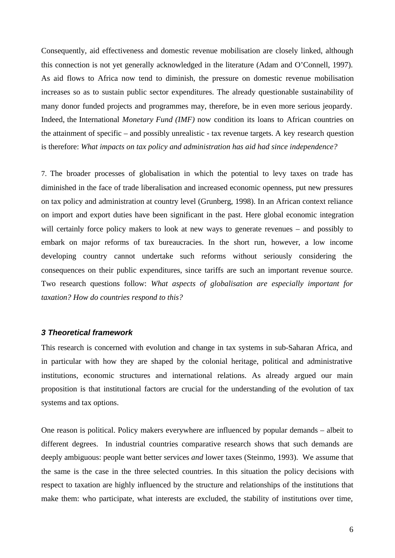Consequently, aid effectiveness and domestic revenue mobilisation are closely linked, although this connection is not yet generally acknowledged in the literature (Adam and O'Connell, 1997). As aid flows to Africa now tend to diminish, the pressure on domestic revenue mobilisation increases so as to sustain public sector expenditures. The already questionable sustainability of many donor funded projects and programmes may, therefore, be in even more serious jeopardy. Indeed, the International *Monetary Fund (IMF)* now condition its loans to African countries on the attainment of specific – and possibly unrealistic - tax revenue targets. A key research question is therefore: *What impacts on tax policy and administration has aid had since independence?*

7. The broader processes of globalisation in which the potential to levy taxes on trade has diminished in the face of trade liberalisation and increased economic openness, put new pressures on tax policy and administration at country level (Grunberg, 1998). In an African context reliance on import and export duties have been significant in the past. Here global economic integration will certainly force policy makers to look at new ways to generate revenues – and possibly to embark on major reforms of tax bureaucracies. In the short run, however, a low income developing country cannot undertake such reforms without seriously considering the consequences on their public expenditures, since tariffs are such an important revenue source. Two research questions follow: *What aspects of globalisation are especially important for taxation? How do countries respond to this?*

#### *3 Theoretical framework*

This research is concerned with evolution and change in tax systems in sub-Saharan Africa, and in particular with how they are shaped by the colonial heritage, political and administrative institutions, economic structures and international relations. As already argued our main proposition is that institutional factors are crucial for the understanding of the evolution of tax systems and tax options.

One reason is political. Policy makers everywhere are influenced by popular demands – albeit to different degrees. In industrial countries comparative research shows that such demands are deeply ambiguous: people want better services *and* lower taxes (Steinmo, 1993). We assume that the same is the case in the three selected countries. In this situation the policy decisions with respect to taxation are highly influenced by the structure and relationships of the institutions that make them: who participate, what interests are excluded, the stability of institutions over time,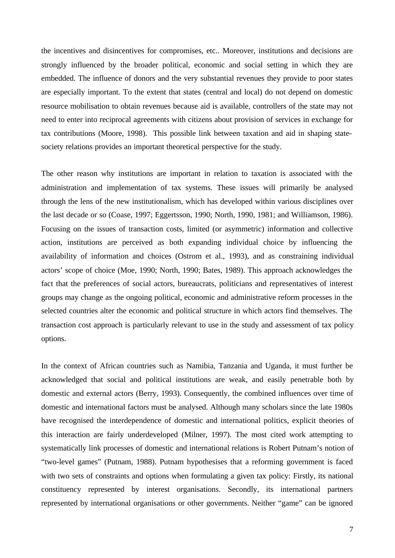the incentives and disincentives for compromises, etc.. Moreover, institutions and decisions are strongly influenced by the broader political, economic and social setting in which they are embedded. The influence of donors and the very substantial revenues they provide to poor states are especially important. To the extent that states (central and local) do not depend on domestic resource mobilisation to obtain revenues because aid is available, controllers of the state may not need to enter into reciprocal agreements with citizens about provision of services in exchange for tax contributions (Moore, 1998). This possible link between taxation and aid in shaping statesociety relations provides an important theoretical perspective for the study.

The other reason why institutions are important in relation to taxation is associated with the administration and implementation of tax systems. These issues will primarily be analysed through the lens of the new institutionalism, which has developed within various disciplines over the last decade or so (Coase, 1997; Eggertsson, 1990; North, 1990, 1981; and Williamson, 1986). Focusing on the issues of transaction costs, limited (or asymmetric) information and collective action, institutions are perceived as both expanding individual choice by influencing the availability of information and choices (Ostrom et al., 1993), and as constraining individual actors' scope of choice (Moe, 1990; North, 1990; Bates, 1989). This approach acknowledges the fact that the preferences of social actors, bureaucrats, politicians and representatives of interest groups may change as the ongoing political, economic and administrative reform processes in the selected countries alter the economic and political structure in which actors find themselves. The transaction cost approach is particularly relevant to use in the study and assessment of tax policy options.

In the context of African countries such as Namibia, Tanzania and Uganda, it must further be acknowledged that social and political institutions are weak, and easily penetrable both by domestic and external actors (Berry, 1993). Consequently, the combined influences over time of domestic and international factors must be analysed. Although many scholars since the late 1980s have recognised the interdependence of domestic and international politics, explicit theories of this interaction are fairly underdeveloped (Milner, 1997). The most cited work attempting to systematically link processes of domestic and international relations is Robert Putnam's notion of "two-level games" (Putnam, 1988). Putnam hypothesises that a reforming government is faced with two sets of constraints and options when formulating a given tax policy: Firstly, its national constituency represented by interest organisations. Secondly, its international partners represented by international organisations or other governments. Neither "game" can be ignored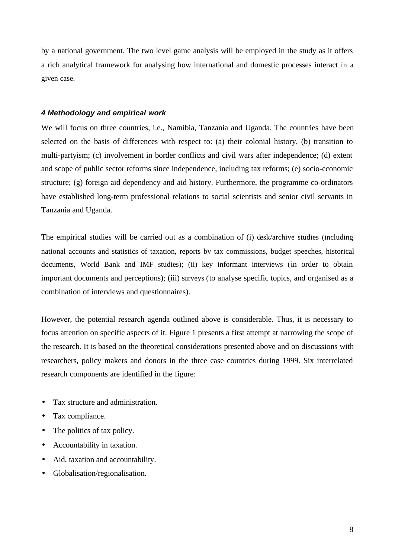by a national government. The two level game analysis will be employed in the study as it offers a rich analytical framework for analysing how international and domestic processes interact in a given case.

#### *4 Methodology and empirical work*

We will focus on three countries, i.e., Namibia, Tanzania and Uganda. The countries have been selected on the basis of differences with respect to: (a) their colonial history, (b) transition to multi-partyism; (c) involvement in border conflicts and civil wars after independence; (d) extent and scope of public sector reforms since independence, including tax reforms; (e) socio-economic structure; (g) foreign aid dependency and aid history. Furthermore, the programme co-ordinators have established long-term professional relations to social scientists and senior civil servants in Tanzania and Uganda.

The empirical studies will be carried out as a combination of (i) desk/archive studies (including national accounts and statistics of taxation, reports by tax commissions, budget speeches, historical documents, World Bank and IMF studies); (ii) key informant interviews (in order to obtain important documents and perceptions); (iii) surveys (to analyse specific topics, and organised as a combination of interviews and questionnaires).

However, the potential research agenda outlined above is considerable. Thus, it is necessary to focus attention on specific aspects of it. Figure 1 presents a first attempt at narrowing the scope of the research. It is based on the theoretical considerations presented above and on discussions with researchers, policy makers and donors in the three case countries during 1999. Six interrelated research components are identified in the figure:

- Tax structure and administration.
- Tax compliance.
- The politics of tax policy.
- Accountability in taxation.
- Aid, taxation and accountability.
- Globalisation/regionalisation.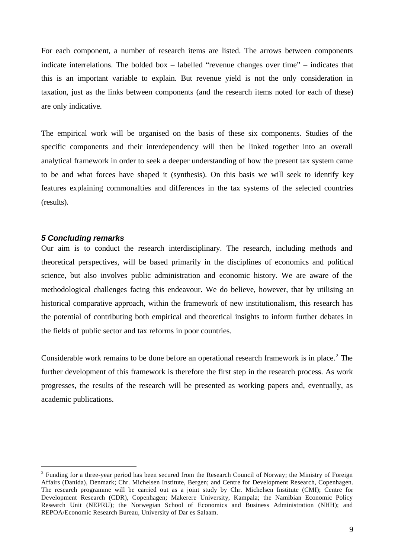For each component, a number of research items are listed. The arrows between components indicate interrelations. The bolded box – labelled "revenue changes over time" – indicates that this is an important variable to explain. But revenue yield is not the only consideration in taxation, just as the links between components (and the research items noted for each of these) are only indicative.

The empirical work will be organised on the basis of these six components. Studies of the specific components and their interdependency will then be linked together into an overall analytical framework in order to seek a deeper understanding of how the present tax system came to be and what forces have shaped it (synthesis). On this basis we will seek to identify key features explaining commonalties and differences in the tax systems of the selected countries (results).

#### *5 Concluding remarks*

l

Our aim is to conduct the research interdisciplinary. The research, including methods and theoretical perspectives, will be based primarily in the disciplines of economics and political science, but also involves public administration and economic history. We are aware of the methodological challenges facing this endeavour. We do believe, however, that by utilising an historical comparative approach, within the framework of new institutionalism, this research has the potential of contributing both empirical and theoretical insights to inform further debates in the fields of public sector and tax reforms in poor countries.

Considerable work remains to be done before an operational research framework is in place.<sup>2</sup> The further development of this framework is therefore the first step in the research process. As work progresses, the results of the research will be presented as working papers and, eventually, as academic publications.

 $2$  Funding for a three-year period has been secured from the Research Council of Norway; the Ministry of Foreign Affairs (Danida), Denmark; Chr. Michelsen Institute, Bergen; and Centre for Development Research, Copenhagen. The research programme will be carried out as a joint study by Chr. Michelsen Institute (CMI); Centre for Development Research (CDR), Copenhagen; Makerere University, Kampala; the Namibian Economic Policy Research Unit (NEPRU); the Norwegian School of Economics and Business Administration (NHH); and REPOA/Economic Research Bureau, University of Dar es Salaam.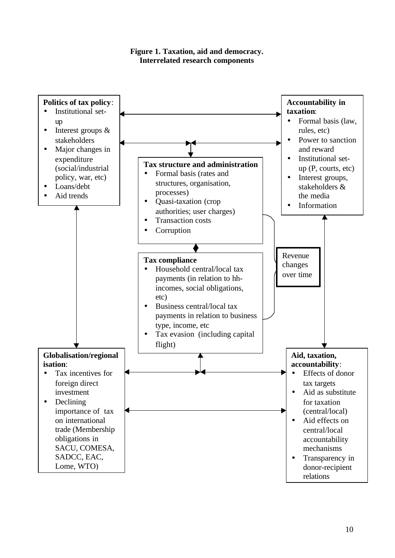

**Figure 1. Taxation, aid and democracy. Interrelated research components**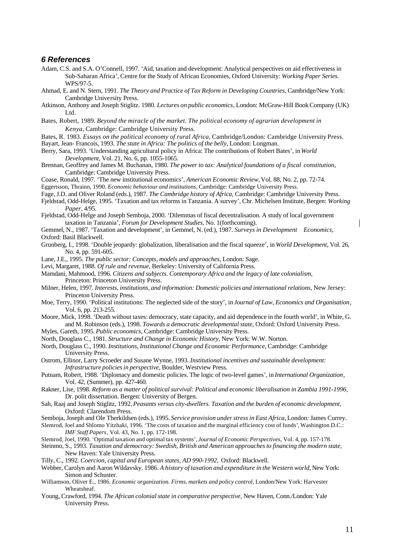#### *6 References*

- Adam, C.S. and S.A. O'Connell, 1997. 'Aid, taxation and development: Analytical perspectives on aid effectiveness in Sub-Saharan Africa', Centre for the Study of African Economies, Oxford University: *Working Paper Series*. WPS/97-5.
- Ahmad, E. and N. Stern, 1991. *The Theory and Practice of Tax Reform in Developing Countries*, Cambridge/New York: Cambridge University Press.
- Atkinson, Anthony and Joseph Stiglitz. 1980. *Lectures on public economics,* London: McGraw-Hill BookCompany (UK) Ltd.
- Bates, Robert, 1989. *Beyond the miracle of the market. The political economy of agrarian development in Kenya,* Cambridge: Cambridge University Press.
- Bates, R. 1983. *Essays on the political economy of rural Africa,* Cambridge/London: Cambridge University Press.
- Bayart, Jean- Francois, 1993. *The state in Africa: The politics of the belly,* London: Longman.
- Berry, Sara, 1993. 'Understanding agricultural policy in Africa: The contributions of Robert Bates', in *World Development*, Vol. 21, No. 6, pp. 1055-1065.
- Brennan, Geoffrey and James M. Buchanan, 1980. *The power to tax: Analytical foundations of a fiscal constitution,* Cambridge: Cambridge University Press.

Coase, Ronald, 1997. 'The new institutional economics', *American Economic Review,* Vol. 88, No. 2, pp. 72-74. Eggertsson, Thrainn, 1990. *Economic behaviour and institutions,* Cambridge: Cambridge University Press.

Fage, J.D. and Oliver Roland (eds.), 1987. *The Cambridge history of Africa,* Cambridge: Cambridge University Press.

- Fjeldstad, Odd-Helge, 1995. 'Taxation and tax reforms in Tanzania. A survey', Chr. Michelsen Institute, Bergen: *Working Paper*, 4/95.
- Fjeldstad, Odd-Helge and Joseph Semboja, 2000. 'Dilemmas of fiscal decentralisation. A study of local government taxation in Tanzania', *Forum for Development Studies,* No. 1(forthcoming).

Gemmel, N., 1987. 'Taxation and development', in Gemmel, N. (ed.), 1987. *Surveys in Development Economics,* Oxford: Basil Blackwell.

- Grunberg, I., 1998. 'Double jeopardy: globalization, liberalisation and the fiscal squeeze', in *World Development*, Vol. 26, No. 4, pp. 591-605.
- Lane, J.E., 1995. *The public sector: Concepts, models and approaches,* London: Sage.
- Levi, Margaret, 1988. *Of rule and revenue,* Berkeley: University of California Press.
- Mamdani, Mahmood, 1996. *Citizens and subjects. Contemporary Africa and the legacy of late colonialism,* Princeton: Princeton University Press.
- Milner, Helen, 1997. *Interests, institutions, and information: Domestic policies and international relations,* New Jersey: Princeton University Press.
- Moe, Terry, 1990. 'Political institutions: The neglected side of the story', in *Journal of Law, Economics and Organisation*, Vol. 6, pp. 213-255.
- Moore, Mick, 1998. 'Death without taxes: democracy, state capacity, and aid dependence in the fourth world', in White, G. and M. Robinson (eds.), 1998. *Towards a democratic developmental state,* Oxford: Oxford University Press.

Myles, Gareth, 1995. *Public economics,* Cambridge: Cambridge University Press.

- North, Douglass C., 1981. *Structure and Change in Economic History,* New York: W.W. Norton.
- North, Douglass C., 1990. *Institutions, Institutional Change and Economic Performance,* Cambridge: Cambridge University Press.
- Ostrom, Ellinor, Larry Scroeder and Susane Wynne, 1993. *Institutional incentives and sustainable development: Infrastructure policies in perspective,* Boulder, Westview Press.
- Putnam, Robert, 1988. 'Diplomacy and domestic policies. The logic of two-level games', in *International Organization*, Vol. 42, (Summer), pp. 427-460.
- Rakner, Lise, 1998. *Reform as a matter of political survival: Political and economic liberalisation in Zambia 1991-1996,* Dr. polit dissertation. Bergen: University of Bergen.
- Sah, Raaj and Joseph Stiglitz, 1992, *Peasants versus city-dwellers. Taxation and the burden of economic development,* Oxford: Clarendom Press.

Semboja, Joseph and Ole Therkildsen (eds.), 1995. *Service provision under stress in East Africa,* London: James Currey.

Slemrod, Joel and Shlomo Yitzhaki, 1996. 'The costs of taxation and the marginal efficiency cost of funds'*,* Washington D.C.: *IMF Staff Papers*, Vol. 43, No. 1, pp. 172-198.

- Slemrod, Joel, 1990. 'Optimal taxation and optimal tax systems', *Journal of Economic Perspectives,* Vol. 4, pp. 157-178.
- Steinmo, S., 1993. *Taxation and democracy: Swedish, British and American approaches to financing the modern state,* New Haven: Yale University Press.
- Tilly, C., 1992*. Coercion, capital and European states, AD 990-1992,* Oxford: Blackwell.
- Webber, Carolyn and Aaron Wildavsky. 1986. *A history of taxation and expenditure in the Western world,* New York: Simon and Schuster.
- Williamson, Oliver E., 1986. *Economic organization. Firms, markets and policy control,* London/New York: Harvester Wheatsheaf.
- Young, Crawford, 1994. *The African colonial state in comparative perspective,* New Haven, Conn./London: Yale University Press.